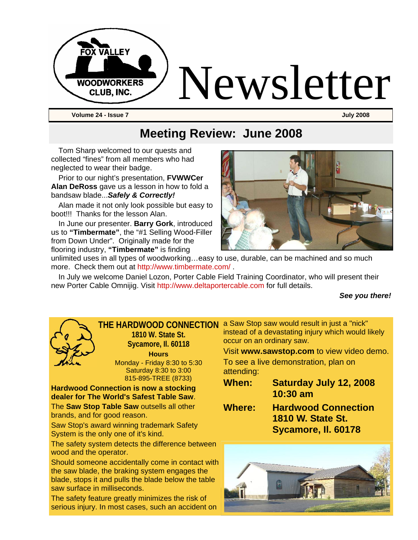

# **Meeting Review: June 2008**

Tom Sharp welcomed to our quests and collected "fines" from all members who had neglected to wear their badge.

Prior to our night's presentation, **FVWWCer Alan DeRoss** gave us a lesson in how to fold a bandsaw blade...*Safely & Correctly!* 

Alan made it not only look possible but easy to boot!!! Thanks for the lesson Alan.

In June our presenter. **Barry Gork**, introduced us to **"Timbermate"**, the "#1 Selling Wood-Filler from Down Under". Originally made for the flooring industry, **"Timbermate"** is finding



unlimited uses in all types of woodworking…easy to use, durable, can be machined and so much more. Check them out at http://www.timbermate.com/ .

In July we welcome Daniel Lozon, Porter Cable Field Training Coordinator, who will present their new Porter Cable Omnijig. Visit http://www.deltaportercable.com for full details.

#### *See you there!*

**THE HARDWOOD CONNECTION**  a Saw Stop saw would result in just a "nick"



**1810 W. State St. Sycamore, Il. 60118 Hours** Monday - Friday 8:30 to 5:30 Saturday 8:30 to 3:00 815-895-TREE (8733)

**Hardwood Connection is now a stocking dealer for The World's Safest Table Saw**. The **Saw Stop Table Saw** outsells all other brands, and for good reason.

Saw Stop's award winning trademark Safety System is the only one of it's kind.

The safety system detects the difference between wood and the operator.

Should someone accidentally come in contact with the saw blade, the braking system engages the blade, stops it and pulls the blade below the table saw surface in milliseconds.

The safety feature greatly minimizes the risk of serious injury. In most cases, such an accident on

instead of a devastating injury which would likely occur on an ordinary saw.

Visit **www.sawstop.com** to view video demo. To see a live demonstration, plan on attending:

- **When: Saturday July 12, 2008 10:30 am**
- **Where: Hardwood Connection 1810 W. State St. Sycamore, Il. 60178**

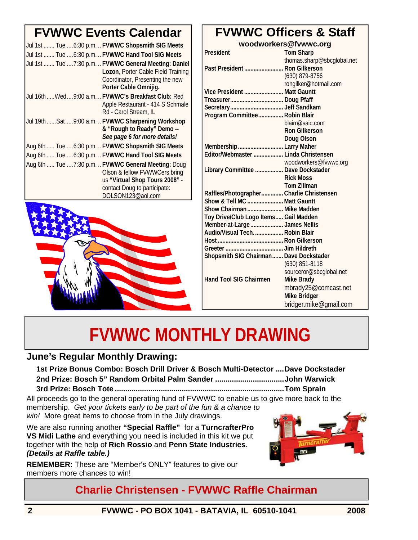# **FVWWC Events Calendar**

| Jul 1st  Tue  6:30 p.m.  FVWWC Shopsmith SIG Meets<br>Jul 1st  Tue  6:30 p.m.  FVWWC Hand Tool SIG Meets<br>Jul 1st  Tue  7:30 p.m.  FVWWC General Meeting: Daniel<br>Lozon, Porter Cable Field Training<br>Coordinator, Presenting the new<br>Porter Cable Omnijig. |
|----------------------------------------------------------------------------------------------------------------------------------------------------------------------------------------------------------------------------------------------------------------------|
| Jul 16th  Wed  9:00 a.m.  FVWWC's Breakfast Club: Red<br>Apple Restaurant - 414 S Schmale<br>Rd - Carol Stream, IL                                                                                                                                                   |
| Jul 19th  Sat  9:00 a.m.  FVWWC Sharpening Workshop<br>& "Rough to Ready" Demo --<br>See page 6 for more details!                                                                                                                                                    |
| Aug 6th  Tue  6:30 p.m.  FVWWC Shopsmith SIG Meets                                                                                                                                                                                                                   |
| Aug 6th  Tue  6:30 p.m.  FVWWC Hand Tool SIG Meets                                                                                                                                                                                                                   |
| Aug 6th  Tue  7:30 p.m.  FVWWC General Meeting: Doug<br>Olson & fellow FVWWCers bring<br>us "Virtual Shop Tours 2008" -<br>contact Doug to participate:<br>DOLSON123@aol.com                                                                                         |



# **FVWWC Officers & Staff**

**woodworkers@fvwwc.org** 

| President                                | <b>Tom Sharp</b>           |
|------------------------------------------|----------------------------|
|                                          | thomas.sharp@sbcglobal.net |
| Past President  Ron Gilkerson            |                            |
|                                          | (630) 879-8756             |
|                                          | rongilker@hotmail.com      |
| Vice President  Matt Gauntt              |                            |
|                                          |                            |
|                                          |                            |
| Program Committee Robin Blair            |                            |
|                                          | blairr@saic.com            |
|                                          | <b>Ron Gilkerson</b>       |
|                                          | Doug Olson                 |
| Membership  Larry Maher                  |                            |
| Editor/Webmaster  Linda Christensen      |                            |
|                                          | woodworkers@fvwwc.org      |
| Library Committee  Dave Dockstader       |                            |
|                                          | <b>Rick Moss</b>           |
|                                          | <b>Tom Zillman</b>         |
| Raffles/Photographer Charlie Christensen |                            |
| Show & Tell MC  Matt Gauntt              |                            |
| Show Chairman  Mike Madden               |                            |
| Toy Drive/Club Logo Items Gail Madden    |                            |
| Member-at-Large  James Nellis            |                            |
| Audio/Visual Tech Robin Blair            |                            |
|                                          |                            |
|                                          |                            |
| Shopsmith SIG Chairman Dave Dockstader   |                            |
|                                          | (630) 851-8118             |
|                                          | sourceror@sbcglobal.net    |
| <b>Hand Tool SIG Chairmen</b>            | <b>Mike Brady</b>          |
|                                          | mbrady25@comcast.net       |
|                                          | <b>Mike Bridger</b>        |
|                                          | bridger.mike@gmail.com     |

# **FVWWC MONTHLY DRAWING**

#### **June's Regular Monthly Drawing:**

**1st Prize Bonus Combo: Bosch Drill Driver & Bosch Multi-Detector ....Dave Dockstader 2nd Prize: Bosch 5" Random Orbital Palm Sander .................................John Warwick 3rd Prize: Bosch Tote .................................................................................Tom Sprain** 

All proceeds go to the general operating fund of FVWWC to enable us to give more back to the membership. *Get your tickets early to be part of the fun & a chance to win!* More great items to choose from in the July drawings.

We are also running another **"Special Raffle"** for a **TurncrafterPro VS Midi Lathe** and everything you need is included in this kit we put together with the help of **Rich Rossio** and **Penn State Industries**. *(Details at Raffle table.)*

**REMEMBER:** These are "Member's ONLY" features to give our members more chances to win!



### **Charlie Christensen - FVWWC Raffle Chairman**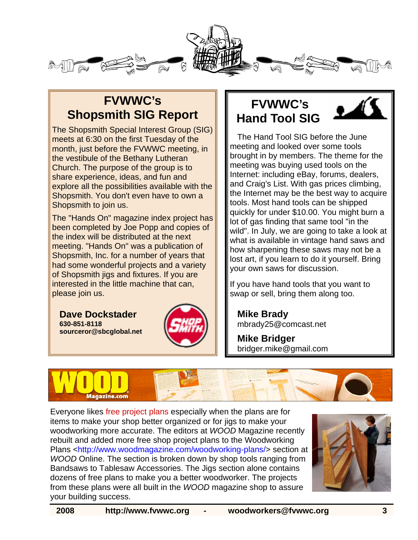

# **FVWWC's Shopsmith SIG Report**

The Shopsmith Special Interest Group (SIG) meets at 6:30 on the first Tuesday of the month, just before the FVWWC meeting, in the vestibule of the Bethany Lutheran Church. The purpose of the group is to share experience, ideas, and fun and explore all the possibilities available with the Shopsmith. You don't even have to own a Shopsmith to join us.

The "Hands On" magazine index project has been completed by Joe Popp and copies of the index will be distributed at the next meeting. "Hands On" was a publication of Shopsmith, Inc. for a number of years that had some wonderful projects and a variety of Shopsmith jigs and fixtures. If you are interested in the little machine that can, please join us.

**Dave Dockstader 630-851-8118 sourceror@sbcglobal.net**



# **FVWWC's Hand Tool SIG**



The Hand Tool SIG before the June meeting and looked over some tools brought in by members. The theme for the meeting was buying used tools on the Internet: including eBay, forums, dealers, and Craig's List. With gas prices climbing, the Internet may be the best way to acquire tools. Most hand tools can be shipped quickly for under \$10.00. You might burn a lot of gas finding that same tool "in the wild". In July, we are going to take a look at what is available in vintage hand saws and how sharpening these saws may not be a lost art, if you learn to do it yourself. Bring your own saws for discussion.

If you have hand tools that you want to swap or sell, bring them along too.

**Mike Brady**  mbrady25@comcast.net

**Mike Bridger**  bridger.mike@gmail.com



Everyone likes free project plans especially when the plans are for items to make your shop better organized or for jigs to make your woodworking more accurate. The editors at *WOOD* Magazine recently rebuilt and added more free shop project plans to the Woodworking Plans <http://www.woodmagazine.com/woodworking-plans/> section at *WOOD* Online. The section is broken down by shop tools ranging from Bandsaws to Tablesaw Accessories. The Jigs section alone contains dozens of free plans to make you a better woodworker. The projects from these plans were all built in the *WOOD* magazine shop to assure your building success.

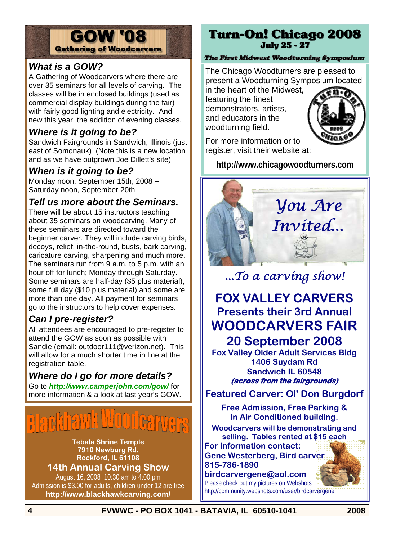#### **GOW '08 Gathering of Woodcarvers**

#### *What is a GOW?*

A Gathering of Woodcarvers where there are over 35 seminars for all levels of carving. The classes will be in enclosed buildings (used as commercial display buildings during the fair) with fairly good lighting and electricity. And new this year, the addition of evening classes.

#### *Where is it going to be?*

Sandwich Fairgrounds in Sandwich, Illinois (just east of Somonauk) (Note this is a new location and as we have outgrown Joe Dillett's site)

#### *When is it going to be?*

Monday noon, September 15th, 2008 – Saturday noon, September 20th

#### *Tell us more about the Seminars.*

There will be about 15 instructors teaching about 35 seminars on woodcarving. Many of these seminars are directed toward the beginner carver. They will include carving birds, decoys, relief, in-the-round, busts, bark carving, caricature carving, sharpening and much more. The seminars run from 9 a.m. to 5 p.m. with an hour off for lunch; Monday through Saturday. Some seminars are half-day (\$5 plus material), some full day (\$10 plus material) and some are more than one day. All payment for seminars go to the instructors to help cover expenses.

#### *Can I pre-register?*

All attendees are encouraged to pre-register to attend the GOW as soon as possible with Sandie (email: outdoor111@verizon.net). This will allow for a much shorter time in line at the registration table.

#### *Where do I go for more details?*

Go to *http://www.camperjohn.com/gow/* for more information & a look at last year's GOW.

**Tebala Shrine Temple 7910 Newburg Rd. Rockford, IL 61108 14th Annual Carving Show**

August 16, 2008 10:30 am to 4:00 pm Admission is \$3.00 for adults, children under 12 are free **http://www.blackhawkcarving.com/**

#### **Turn-On! Chicago 2008 July 25 - 27**

#### The First Midwest Woodturning Symposium

The Chicago Woodturners are pleased to present a Woodturning Symposium located in the heart of the Midwest,

featuring the finest demonstrators, artists, and educators in the woodturning field.



For more information or to register, visit their website at:

**http://www.chicagowoodturners.com** 



*...To a carving show!* 

# **FOX VALLEY CARVERS Presents their 3rd Annual WOODCARVERS FAIR 20 September 2008**

**Fox Valley Older Adult Services Bldg 1406 Suydam Rd Sandwich IL 60548 (across from the fairgrounds)** 

**Featured Carver: Ol' Don Burgdorf** 

**Free Admission, Free Parking & in Air Conditioned building.** 

**Woodcarvers will be demonstrating and selling. Tables rented at \$15 each** 

**For information contact: Gene Westerberg, Bird carver 815-786-1890** 

**birdcarvergene@aol.com** 

Please check out my pictures on Webshots http://community.webshots.com/user/birdcarvergene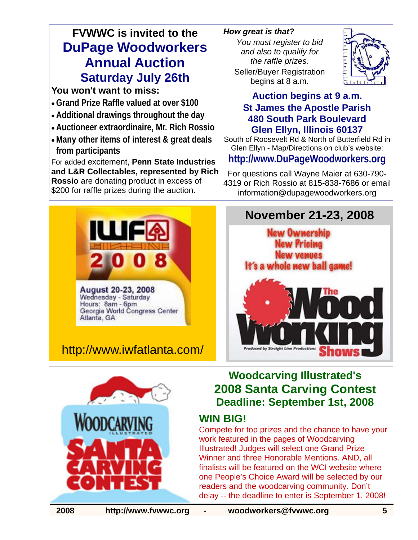# **FVWWC is invited to the DuPage Woodworkers Annual Auction Saturday July 26th**

#### **You won't want to miss:**

- **Grand Prize Raffle valued at over \$100**
- **Additional drawings throughout the day**
- **Auctioneer extraordinaire, Mr. Rich Rossio**
- **Many other items of interest & great deals from participants**

For added excitement, **Penn State Industries and L&R Collectables, represented by Rich Rossio** are donating product in excess of \$200 for raffle prizes during the auction.

#### *How great is that?*

*You must register to bid and also to qualify for the raffle prizes.*  Seller/Buyer Registration begins at 8 a.m.



#### **Auction begins at 9 a.m. St James the Apostle Parish 480 South Park Boulevard Glen Ellyn, Illinois 60137**

South of Roosevelt Rd & North of Butterfield Rd in Glen Ellyn - Map/Directions on club's website:

#### **http://www.DuPageWoodworkers.org**

For questions call Wayne Maier at 630-790- 4319 or Rich Rossio at 815-838-7686 or email information@dupagewoodworkers.org



August 20-23, 2008 Wednesday - Saturday Hours: 8am - 6pm Georgia World Congress Center Atlanta, GA

# http://www.iwfatlanta.com/





### **Woodcarving Illustrated's 2008 Santa Carving Contest Deadline: September 1st, 2008**

# **WIN BIG!**

Compete for top prizes and the chance to have your work featured in the pages of Woodcarving Illustrated! Judges will select one Grand Prize Winner and three Honorable Mentions. AND, all finalists will be featured on the WCI website where one People's Choice Award will be selected by our readers and the woodcarving community. Don't delay -- the deadline to enter is September 1, 2008!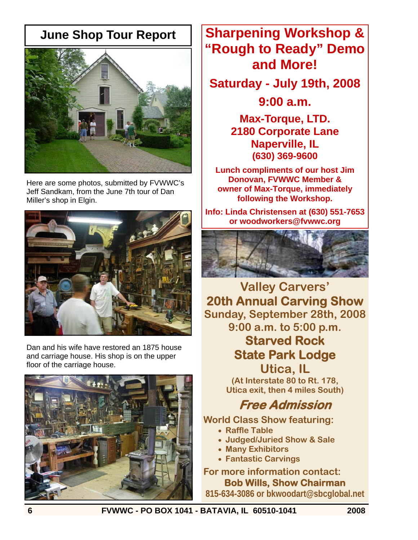## **June Shop Tour Report**



Here are some photos, submitted by FVWWC's Jeff Sandkam, from the June 7th tour of Dan Miller's shop in Elgin.



Dan and his wife have restored an 1875 house and carriage house. His shop is on the upper floor of the carriage house.



**Sharpening Workshop & "Rough to Ready" Demo and More!** 

**Saturday - July 19th, 2008** 

**9:00 a.m.** 

**Max-Torque, LTD. 2180 Corporate Lane Naperville, IL (630) 369-9600** 

**Lunch compliments of our host Jim Donovan, FVWWC Member & owner of Max-Torque, immediately following the Workshop.** 

**Info: Linda Christensen at (630) 551-7653 or woodworkers@fvwwc.org**



**Valley Carvers' 20th Annual Carving Show Sunday, September 28th, 2008 9:00 a.m. to 5:00 p.m.** 

# **Starved Rock State Park Lodge Utica, IL**

**(At Interstate 80 to Rt. 178, Utica exit, then 4 miles South)** 

# **Free Admission**

**World Class Show featuring:** 

- **Raffle Table**
- **Judged/Juried Show & Sale**
- **Many Exhibitors**
- **Fantastic Carvings**

**For more information contact: Bob Wills, Show Chairman 815-634-3086 or bkwoodart@sbcglobal.net**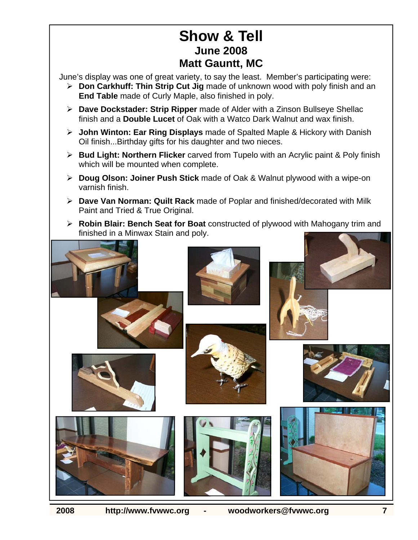# **Show & Tell June 2008 Matt Gauntt, MC**

June's display was one of great variety, to say the least. Member's participating were:

- ¾ **Don Carkhuff: Thin Strip Cut Jig** made of unknown wood with poly finish and an **End Table** made of Curly Maple, also finished in poly.
- ¾ **Dave Dockstader: Strip Ripper** made of Alder with a Zinson Bullseye Shellac finish and a **Double Lucet** of Oak with a Watco Dark Walnut and wax finish.
- ¾ **John Winton: Ear Ring Displays** made of Spalted Maple & Hickory with Danish Oil finish...Birthday gifts for his daughter and two nieces.
- ¾ **Bud Light: Northern Flicker** carved from Tupelo with an Acrylic paint & Poly finish which will be mounted when complete.
- ¾ **Doug Olson: Joiner Push Stick** made of Oak & Walnut plywood with a wipe-on varnish finish.
- ¾ **Dave Van Norman: Quilt Rack** made of Poplar and finished/decorated with Milk Paint and Tried & True Original.
- ¾ **Robin Blair: Bench Seat for Boat** constructed of plywood with Mahogany trim and finished in a Minwax Stain and poly.